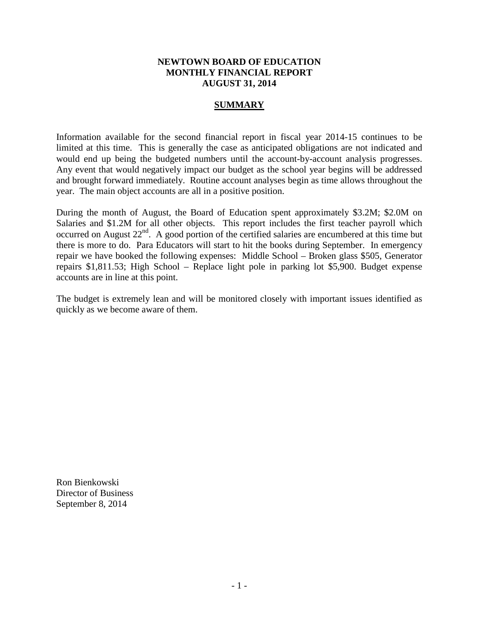# **NEWTOWN BOARD OF EDUCATION MONTHLY FINANCIAL REPORT AUGUST 31, 2014**

# **SUMMARY**

Information available for the second financial report in fiscal year 2014-15 continues to be limited at this time. This is generally the case as anticipated obligations are not indicated and would end up being the budgeted numbers until the account-by-account analysis progresses. Any event that would negatively impact our budget as the school year begins will be addressed and brought forward immediately. Routine account analyses begin as time allows throughout the year. The main object accounts are all in a positive position.

During the month of August, the Board of Education spent approximately \$3.2M; \$2.0M on Salaries and \$1.2M for all other objects. This report includes the first teacher payroll which occurred on August  $22^{nd}$ . A good portion of the certified salaries are encumbered at this time but there is more to do. Para Educators will start to hit the books during September. In emergency repair we have booked the following expenses: Middle School – Broken glass \$505, Generator repairs \$1,811.53; High School – Replace light pole in parking lot \$5,900. Budget expense accounts are in line at this point.

The budget is extremely lean and will be monitored closely with important issues identified as quickly as we become aware of them.

Ron Bienkowski Director of Business September 8, 2014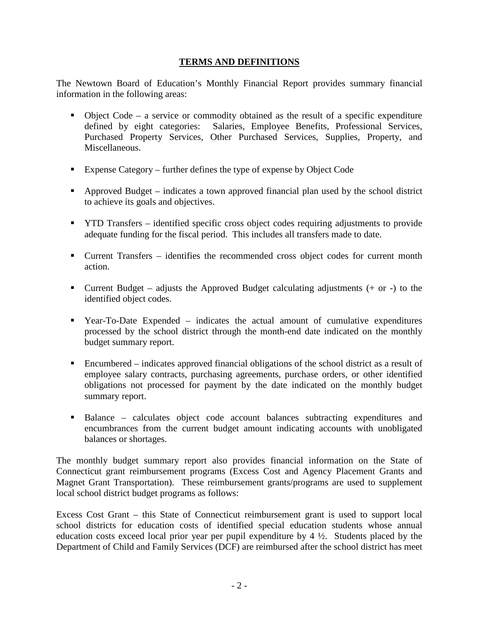# **TERMS AND DEFINITIONS**

The Newtown Board of Education's Monthly Financial Report provides summary financial information in the following areas:

- $\bullet$  Object Code a service or commodity obtained as the result of a specific expenditure defined by eight categories: Salaries, Employee Benefits, Professional Services, Purchased Property Services, Other Purchased Services, Supplies, Property, and Miscellaneous.
- Expense Category further defines the type of expense by Object Code
- Approved Budget indicates a town approved financial plan used by the school district to achieve its goals and objectives.
- **THE TRANSFER** identified specific cross object codes requiring adjustments to provide adequate funding for the fiscal period. This includes all transfers made to date.
- Current Transfers identifies the recommended cross object codes for current month action.
- **Current Budget** adjusts the Approved Budget calculating adjustments  $(+)$  or  $-)$  to the identified object codes.
- Year-To-Date Expended indicates the actual amount of cumulative expenditures processed by the school district through the month-end date indicated on the monthly budget summary report.
- Encumbered indicates approved financial obligations of the school district as a result of employee salary contracts, purchasing agreements, purchase orders, or other identified obligations not processed for payment by the date indicated on the monthly budget summary report.
- Balance calculates object code account balances subtracting expenditures and encumbrances from the current budget amount indicating accounts with unobligated balances or shortages.

The monthly budget summary report also provides financial information on the State of Connecticut grant reimbursement programs (Excess Cost and Agency Placement Grants and Magnet Grant Transportation). These reimbursement grants/programs are used to supplement local school district budget programs as follows:

Excess Cost Grant – this State of Connecticut reimbursement grant is used to support local school districts for education costs of identified special education students whose annual education costs exceed local prior year per pupil expenditure by 4 ½. Students placed by the Department of Child and Family Services (DCF) are reimbursed after the school district has meet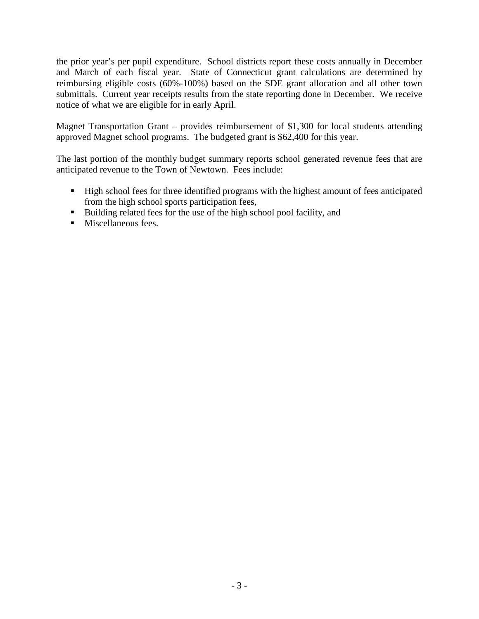the prior year's per pupil expenditure. School districts report these costs annually in December and March of each fiscal year. State of Connecticut grant calculations are determined by reimbursing eligible costs (60%-100%) based on the SDE grant allocation and all other town submittals. Current year receipts results from the state reporting done in December. We receive notice of what we are eligible for in early April.

Magnet Transportation Grant – provides reimbursement of \$1,300 for local students attending approved Magnet school programs. The budgeted grant is \$62,400 for this year.

The last portion of the monthly budget summary reports school generated revenue fees that are anticipated revenue to the Town of Newtown. Fees include:

- High school fees for three identified programs with the highest amount of fees anticipated from the high school sports participation fees,
- Building related fees for the use of the high school pool facility, and
- **Miscellaneous fees.**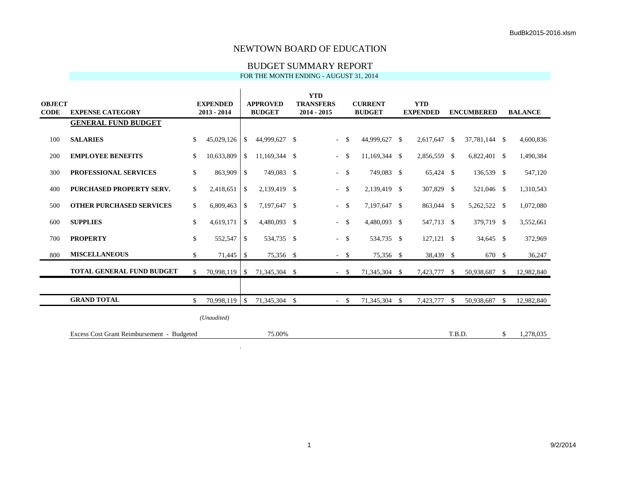### BUDGET SUMMARY REPORT

FOR THE MONTH ENDING - AUGUST 31, 2014

| <b>OBJECT</b><br><b>CODE</b> | <b>EXPENSE CATEGORY</b>                    |              | <b>EXPENDED</b><br>$2013 - 2014$ |               | <b>APPROVED</b><br><b>BUDGET</b> | <b>YTD</b><br><b>TRANSFERS</b><br>$2014 - 2015$ |        | <b>CURRENT</b><br><b>BUDGET</b> | <b>YTD</b><br><b>EXPENDED</b> |               | <b>ENCUMBERED</b> |      | <b>BALANCE</b> |
|------------------------------|--------------------------------------------|--------------|----------------------------------|---------------|----------------------------------|-------------------------------------------------|--------|---------------------------------|-------------------------------|---------------|-------------------|------|----------------|
|                              | <b>GENERAL FUND BUDGET</b>                 |              |                                  |               |                                  |                                                 |        |                                 |                               |               |                   |      |                |
| 100                          | <b>SALARIES</b>                            | $\mathbb{S}$ | 45,029,126                       | <sup>S</sup>  | 44,999,627 \$                    | $\sim$                                          | - \$   | 44,999,627 \$                   | 2,617,647                     | -S            | 37,781,144 \$     |      | 4,600,836      |
| 200                          | <b>EMPLOYEE BENEFITS</b>                   | \$           | 10,633,809                       | \$            | 11,169,344 \$                    | $\sim$                                          | -\$    | 11,169,344 \$                   | 2,856,559 \$                  |               | $6,822,401$ \$    |      | 1,490,384      |
| 300                          | PROFESSIONAL SERVICES                      | \$           | 863,909                          | \$            | 749,083 \$                       |                                                 | $-5$   | 749,083 \$                      | 65,424 \$                     |               | 136,539 \$        |      | 547,120        |
| 400                          | PURCHASED PROPERTY SERV.                   | \$           | 2,418,651                        | \$            | 2,139,419 \$                     |                                                 | $-5$   | 2,139,419 \$                    | 307,829                       | <sup>\$</sup> | 521,046 \$        |      | 1,310,543      |
| 500                          | <b>OTHER PURCHASED SERVICES</b>            | \$           | 6,809,463                        | \$            | 7,197,647 \$                     | $\sim$                                          | - \$   | 7,197,647 \$                    | 863,044 \$                    |               | 5,262,522 \$      |      | 1,072,080      |
| 600                          | <b>SUPPLIES</b>                            | \$           | 4,619,171                        | \$            | 4,480,093 \$                     |                                                 | $-$ \$ | 4,480,093 \$                    | 547,713 \$                    |               | 379,719 \$        |      | 3,552,661      |
| 700                          | <b>PROPERTY</b>                            | \$           | 552,547                          | \$            | 534,735 \$                       |                                                 | $-$ \$ | 534,735 \$                      | $127,121$ \$                  |               | 34,645 \$         |      | 372,969        |
| 800                          | <b>MISCELLANEOUS</b>                       | \$           | 71,445                           | <sup>\$</sup> | 75,356 \$                        |                                                 | $-$ \$ | 75,356 \$                       | 38,439 \$                     |               | 670 \$            |      | 36,247         |
|                              | <b>TOTAL GENERAL FUND BUDGET</b>           | $\mathbb{S}$ | 70,998,119 \$                    |               | 71,345,304 \$                    |                                                 | $-5$   | 71,345,304 \$                   | 7,423,777                     | \$            | 50,938,687        | - \$ | 12,982,840     |
|                              |                                            |              |                                  |               |                                  |                                                 |        |                                 |                               |               |                   |      |                |
|                              | <b>GRAND TOTAL</b>                         | \$           | $70,998,119$ \$                  |               | 71,345,304 \$                    |                                                 | $-$ \$ | 71,345,304 \$                   | 7,423,777                     | -\$           | 50,938,687 \$     |      | 12,982,840     |
|                              |                                            |              | (Unaudited)                      |               |                                  |                                                 |        |                                 |                               |               |                   |      |                |
|                              | Excess Cost Grant Reimbursement - Budgeted |              |                                  |               | 75.00%                           |                                                 |        |                                 |                               | T.B.D.        |                   | \$   | 1,278,035      |

 $\alpha$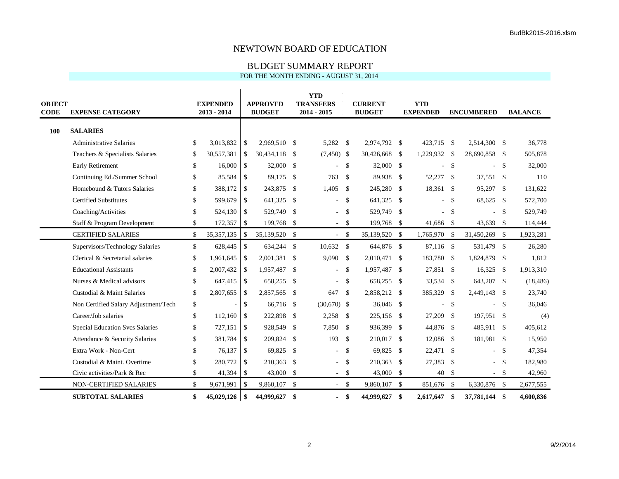### BUDGET SUMMARY REPORT

| <b>OBJECT</b><br><b>CODE</b> | <b>EXPENSE CATEGORY</b>                | <b>EXPENDED</b><br>$2013 - 2014$ |                    | <b>APPROVED</b><br><b>BUDGET</b> |                    | <b>YTD</b><br><b>TRANSFERS</b><br>2014 - 2015 |                    | <b>CURRENT</b><br><b>BUDGET</b> |     | <b>YTD</b><br><b>EXPENDED</b> |               | <b>ENCUMBERED</b> |            | <b>BALANCE</b> |
|------------------------------|----------------------------------------|----------------------------------|--------------------|----------------------------------|--------------------|-----------------------------------------------|--------------------|---------------------------------|-----|-------------------------------|---------------|-------------------|------------|----------------|
| 100                          | <b>SALARIES</b>                        |                                  |                    |                                  |                    |                                               |                    |                                 |     |                               |               |                   |            |                |
|                              | <b>Administrative Salaries</b>         | \$<br>3,013,832                  | \$                 | 2,969,510                        | - \$               | 5,282 \$                                      |                    | 2,974,792 \$                    |     | 423,715 \$                    |               | 2,514,300 \$      |            | 36,778         |
|                              | Teachers & Specialists Salaries        | \$<br>30,557,381                 | $\mathbf{\hat{S}}$ | 30,434,118                       | -\$                | $(7,450)$ \$                                  |                    | 30,426,668 \$                   |     | 1,229,932 \$                  |               | 28,690,858 \$     |            | 505,878        |
|                              | Early Retirement                       | \$<br>16,000                     | $\mathbb{S}$       | 32,000                           | -S                 |                                               | <sup>\$</sup>      | 32,000 \$                       |     |                               | <sup>\$</sup> |                   | $^{\circ}$ | 32,000         |
|                              | Continuing Ed./Summer School           | \$<br>85,584                     | \$                 | 89,175                           | -\$                | 763                                           | -S                 | 89,938 \$                       |     | 52,277                        | <sup>\$</sup> | 37,551 \$         |            | 110            |
|                              | Homebound & Tutors Salaries            | \$<br>388,172                    | $\mathcal{S}$      | 243,875                          | $\mathbf{\hat{S}}$ | 1,405                                         | $\mathbf{\hat{S}}$ | 245,280 \$                      |     | 18,361                        | $\mathbf{s}$  | 95,297 \$         |            | 131,622        |
|                              | <b>Certified Substitutes</b>           | \$<br>599,679                    | $\mathbb{S}$       | 641,325                          | -\$                | $\overline{a}$                                | <sup>\$</sup>      | 641,325 \$                      |     | $\sim$                        | <sup>\$</sup> | 68,625 \$         |            | 572,700        |
|                              | Coaching/Activities                    | \$<br>524,130                    | \$                 | 529,749                          | \$                 |                                               | \$                 | 529,749 \$                      |     | u.                            | \$            |                   | - \$       | 529,749        |
|                              | Staff & Program Development            | \$<br>172,357                    | \$                 | 199,768                          | \$                 | $\sim$                                        | -\$                | 199,768 \$                      |     | 41,686 \$                     |               | 43,639 \$         |            | 114,444        |
|                              | <b>CERTIFIED SALARIES</b>              | \$<br>35, 357, 135               | $\mathcal{S}$      | 35,139,520 \$                    |                    | $-5$                                          |                    | 35,139,520 \$                   |     | 1,765,970 \$                  |               | 31,450,269 \$     |            | 1,923,281      |
|                              | Supervisors/Technology Salaries        | \$<br>628,445                    | $\sqrt{3}$         | 634,244 \$                       |                    | 10,632                                        | \$                 | 644,876 \$                      |     | 87,116 \$                     |               | 531,479 \$        |            | 26,280         |
|                              | Clerical & Secretarial salaries        | \$<br>1,961,645                  | $\mathbb{S}$       | 2,001,381                        | $\mathbf{\hat{S}}$ | 9,090                                         | $\mathbf{\hat{S}}$ | 2,010,471 \$                    |     | 183,780 \$                    |               | 1,824,879 \$      |            | 1,812          |
|                              | <b>Educational Assistants</b>          | \$<br>2,007,432                  | $\mathbb{S}$       | 1,957,487                        | \$                 |                                               | \$                 | 1,957,487 \$                    |     | 27,851 \$                     |               | $16,325$ \$       |            | 1,913,310      |
|                              | Nurses & Medical advisors              | \$<br>647,415                    | $\mathbb{S}$       | 658,255                          | -\$                | ÷.                                            | -\$                | 658,255 \$                      |     | 33,534 \$                     |               | 643,207 \$        |            | (18, 486)      |
|                              | Custodial & Maint Salaries             | \$<br>2,807,655                  | $\mathbf{\hat{S}}$ | 2,857,565                        | $\mathcal{S}$      | 647                                           | $\mathcal{S}$      | 2,858,212 \$                    |     | 385,329                       | - \$          | 2,449,143 \$      |            | 23,740         |
|                              | Non Certified Salary Adjustment/Tech   | \$                               | \$                 | 66,716                           | - \$               | $(30,670)$ \$                                 |                    | $36,046$ \$                     |     | ÷.                            | \$            |                   | - \$       | 36,046         |
|                              | Career/Job salaries                    | \$<br>112,160                    | $\mathbb{S}$       | 222,898                          | \$                 | 2,258                                         | -\$                | 225,156 \$                      |     | 27,209                        | \$            | 197,951 \$        |            | (4)            |
|                              | <b>Special Education Svcs Salaries</b> | \$<br>727,151                    | $\mathbb{S}$       | 928,549                          | -\$                | 7,850                                         | $\mathbf{\hat{S}}$ | 936,399 \$                      |     | 44,876 \$                     |               | 485,911 \$        |            | 405,612        |
|                              | Attendance & Security Salaries         | \$<br>381,784                    | \$                 | 209,824                          | \$                 | 193                                           | -\$                | 210,017 \$                      |     | 12,086 \$                     |               | 181,981 \$        |            | 15,950         |
|                              | Extra Work - Non-Cert                  | \$<br>76,137                     | $\mathbb{S}$       | 69,825                           | -S                 |                                               | -\$                | 69,825 \$                       |     | 22,471 \$                     |               |                   | - \$       | 47,354         |
|                              | Custodial & Maint. Overtime            | \$<br>280,772                    | $\mathcal{S}$      | 210,363                          | -\$                |                                               | <sup>\$</sup>      | 210,363 \$                      |     | 27,383                        | <sup>\$</sup> |                   | - \$       | 182,980        |
|                              | Civic activities/Park & Rec            | \$<br>41,394                     | \$                 | 43,000                           | \$                 | $-5$                                          |                    | 43,000 \$                       |     | 40 \$                         |               |                   | $-$ \$     | 42,960         |
|                              | NON-CERTIFIED SALARIES                 | \$<br>9,671,991                  | $\mathbf{\hat{S}}$ | 9,860,107                        | $\mathbf{\hat{S}}$ | $\sim$ $-$                                    | - \$               | 9,860,107                       | -\$ | 851,676 \$                    |               | 6,330,876 \$      |            | 2,677,555      |
|                              | <b>SUBTOTAL SALARIES</b>               | \$                               |                    | 44,999,627                       | \$                 | $\blacksquare$                                | -\$                | 44,999,627 \$                   |     | 2,617,647                     | -\$           | 37,781,144 \$     |            | 4,600,836      |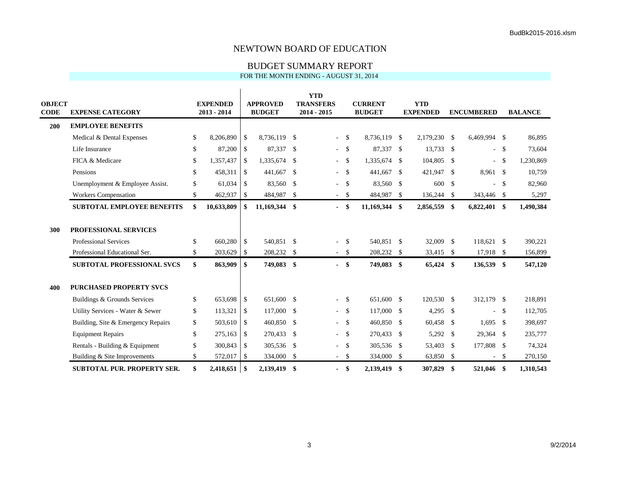### BUDGET SUMMARY REPORT

| OBJECT<br><b>CODE</b> | <b>EXPENSE CATEGORY</b>            | <b>EXPENDED</b><br>$2013 - 2014$ |               | <b>APPROVED</b><br><b>BUDGET</b> |      | <b>YTD</b><br><b>TRANSFERS</b><br>2014 - 2015 |          | <b>CURRENT</b><br><b>BUDGET</b> |              | <b>YTD</b><br><b>EXPENDED</b> |      | <b>ENCUMBERED</b> |              | <b>BALANCE</b> |
|-----------------------|------------------------------------|----------------------------------|---------------|----------------------------------|------|-----------------------------------------------|----------|---------------------------------|--------------|-------------------------------|------|-------------------|--------------|----------------|
| 200                   | <b>EMPLOYEE BENEFITS</b>           |                                  |               |                                  |      |                                               |          |                                 |              |                               |      |                   |              |                |
|                       | Medical & Dental Expenses          | \$<br>8,206,890                  | $\mathbb{S}$  | 8,736,119 \$                     |      | $\omega$                                      | -\$      | 8,736,119 \$                    |              | 2.179.230 \$                  |      | 6,469,994 \$      |              | 86,895         |
|                       | Life Insurance                     | \$<br>87,200                     | \$            | 87,337 \$                        |      | $\sim$                                        | - \$     | 87,337 \$                       |              | 13,733 \$                     |      | - \$              |              | 73,604         |
|                       | FICA & Medicare                    | \$<br>1,357,437                  | -\$           | 1,335,674 \$                     |      |                                               | $-5$     | 1,335,674 \$                    |              | 104,805 \$                    |      | - \$              |              | 1,230,869      |
|                       | Pensions                           | \$<br>458,311                    | -\$           | 441,667                          | -\$  |                                               | $-5$     | 441,667 \$                      |              | 421,947                       | - \$ | 8,961 \$          |              | 10,759         |
|                       | Unemployment & Employee Assist.    | \$<br>61,034                     | $\mathcal{S}$ | 83,560                           | -\$  |                                               | $-5$     | 83,560 \$                       |              | 600                           | - \$ |                   | $-$ \$       | 82,960         |
|                       | <b>Workers Compensation</b>        | \$<br>462,937                    | \$            | 484,987                          | \$   |                                               | $-5$     | 484,987                         | $\mathbf{s}$ | 136,244 \$                    |      | 343,446 \$        |              | 5,297          |
|                       | <b>SUBTOTAL EMPLOYEE BENEFITS</b>  | \$<br>10,633,809                 | S.            | 11,169,344                       | \$   | $\overline{\phantom{0}}$                      | -\$      | 11,169,344 \$                   |              | 2,856,559 \$                  |      | $6,822,401$ \$    |              | 1,490,384      |
|                       |                                    |                                  |               |                                  |      |                                               |          |                                 |              |                               |      |                   |              |                |
| 300                   | PROFESSIONAL SERVICES              |                                  |               |                                  |      |                                               |          |                                 |              |                               |      |                   |              |                |
|                       | Professional Services              | \$<br>660,280                    | \$            | 540,851 \$                       |      | $\omega$                                      | - \$     | 540,851 \$                      |              | 32,009 \$                     |      | 118,621 \$        |              | 390,221        |
|                       | Professional Educational Ser.      | \$<br>203,629                    | -\$           | 208,232 \$                       |      |                                               | $-5$     | 208,232 \$                      |              | 33,415 \$                     |      | 17,918 \$         |              | 156,899        |
|                       | <b>SUBTOTAL PROFESSIONAL SVCS</b>  | \$<br>863,909                    | -\$           | 749,083                          | -\$  |                                               | $-$ \$   | 749,083 \$                      |              | 65,424 \$                     |      | 136,539 \$        |              | 547,120        |
|                       |                                    |                                  |               |                                  |      |                                               |          |                                 |              |                               |      |                   |              |                |
| 400                   | <b>PURCHASED PROPERTY SVCS</b>     |                                  |               |                                  |      |                                               |          |                                 |              |                               |      |                   |              |                |
|                       | Buildings & Grounds Services       | \$<br>653,698                    | \$            | 651,600 \$                       |      | $\sim$                                        | <b>S</b> | 651,600 \$                      |              | 120,530 \$                    |      | 312,179 \$        |              | 218,891        |
|                       | Utility Services - Water & Sewer   | \$<br>113,321                    | \$            | 117,000                          | - \$ |                                               | $-5$     | 117,000 \$                      |              | $4,295$ \$                    |      |                   | $-$ \$       | 112,705        |
|                       | Building, Site & Emergency Repairs | \$<br>503,610                    | \$            | 460,850                          | -\$  | $\sim$                                        | - \$     | 460,850 \$                      |              | 60,458 \$                     |      | $1,695$ \$        |              | 398,697        |
|                       | <b>Equipment Repairs</b>           | \$<br>275,163                    | $\mathbb{S}$  | 270,433                          | -\$  | $\sim$                                        | - \$     | 270,433 \$                      |              | 5,292 \$                      |      | 29,364 \$         |              | 235,777        |
|                       | Rentals - Building & Equipment     | \$<br>300,843                    | -\$           | 305,536 \$                       |      | $\sim$                                        | - \$     | 305,536 \$                      |              | 53,403 \$                     |      | 177,808 \$        |              | 74,324         |
|                       | Building & Site Improvements       | \$<br>572,017                    | <b>S</b>      | 334,000                          | -\$  | $\sim$                                        | - \$     | 334,000 \$                      |              | 63,850 \$                     |      | $\sim$            | $\mathbf{s}$ | 270,150        |
|                       | <b>SUBTOTAL PUR. PROPERTY SER.</b> | \$<br>2,418,651                  | l \$          | 2.139.419 \$                     |      | $\sim$                                        | -\$      | 2.139.419                       | -\$          | 307,829                       | \$   | 521,046 \$        |              | 1.310.543      |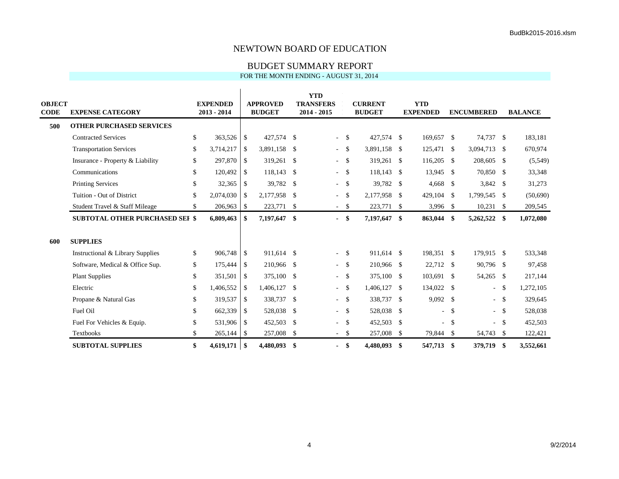### BUDGET SUMMARY REPORT

| <b>OBJECT</b><br><b>CODE</b> | <b>EXPENSE CATEGORY</b>                |              | <b>EXPENDED</b><br>$2013 - 2014$ |               | <b>APPROVED</b><br><b>BUDGET</b> |               | <b>YTD</b><br><b>TRANSFERS</b><br>$2014 - 2015$ |                    | <b>CURRENT</b><br><b>BUDGET</b> | <b>YTD</b><br><b>EXPENDED</b> |      | <b>ENCUMBERED</b> |        | <b>BALANCE</b> |
|------------------------------|----------------------------------------|--------------|----------------------------------|---------------|----------------------------------|---------------|-------------------------------------------------|--------------------|---------------------------------|-------------------------------|------|-------------------|--------|----------------|
| 500                          | <b>OTHER PURCHASED SERVICES</b>        |              |                                  |               |                                  |               |                                                 |                    |                                 |                               |      |                   |        |                |
|                              | <b>Contracted Services</b>             | \$           | 363,526 \$                       |               | 427,574 \$                       |               | $\blacksquare$                                  | $^{\circ}$         | 427,574 \$                      | 169,657 \$                    |      | 74,737 \$         |        | 183,181        |
|                              | <b>Transportation Services</b>         | \$           | 3,714,217                        | \$            | 3,891,158                        | -\$           | $\blacksquare$                                  | -\$                | 3,891,158 \$                    | 125,471 \$                    |      | 3,094,713 \$      |        | 670,974        |
|                              | Insurance - Property & Liability       | \$           | 297,870                          | $\mathbb{S}$  | 319,261                          | -\$           | $\overline{\phantom{a}}$                        | -\$                | 319,261 \$                      | 116,205 \$                    |      | 208,605 \$        |        | (5,549)        |
|                              | Communications                         | \$           | 120,492                          | $\mathcal{S}$ | 118,143                          | \$            | $\overline{\phantom{a}}$                        | -\$                | $118,143$ \$                    | 13,945 \$                     |      | 70,850 \$         |        | 33,348         |
|                              | <b>Printing Services</b>               | $\mathbf S$  | 32,365                           | <sup>\$</sup> | 39,782                           | -\$           | $\overline{\phantom{a}}$                        | -\$                | 39,782 \$                       | $4,668$ \$                    |      | 3,842 \$          |        | 31,273         |
|                              | Tuition - Out of District              | $\mathbf S$  | 2,074,030                        | <sup>\$</sup> | 2,177,958                        | -\$           | ÷.                                              | $\mathbf{\hat{S}}$ | 2,177,958 \$                    | $429.104$ \$                  |      | 1,799,545 \$      |        | (50,690)       |
|                              | Student Travel & Staff Mileage         | \$           | $206,963$ \$                     |               | 223,771                          | -\$           |                                                 | $-$ \$             | 223,771 \$                      | $3,996$ \$                    |      | $10,231$ \$       |        | 209,545        |
|                              | <b>SUBTOTAL OTHER PURCHASED SEI \$</b> |              | 6,809,463                        | \$            | 7,197,647                        | \$            | $\blacksquare$                                  | -\$                | 7,197,647 \$                    | 863,044 \$                    |      | 5,262,522 \$      |        | 1,072,080      |
| 600                          | <b>SUPPLIES</b>                        |              |                                  |               |                                  |               |                                                 |                    |                                 |                               |      |                   |        |                |
|                              | Instructional & Library Supplies       | $\mathbb{S}$ | 906,748                          | -\$           | 911,614 \$                       |               | $\blacksquare$                                  | - \$               | 911,614 \$                      | 198,351 \$                    |      | 179,915 \$        |        | 533,348        |
|                              | Software, Medical & Office Sup.        | \$           | 175,444                          | -\$           | 210,966                          | -\$           | $\overline{\phantom{a}}$                        | -\$                | 210,966 \$                      | 22,712 \$                     |      | 90,796 \$         |        | 97,458         |
|                              | <b>Plant Supplies</b>                  | \$           | 351,501                          | - \$          | 375,100                          | -\$           | $\overline{\phantom{a}}$                        | $\mathcal{S}$      | 375,100 \$                      | 103,691 \$                    |      | 54,265 \$         |        | 217,144        |
|                              | Electric                               | \$           | 1,406,552                        | <sup>\$</sup> | 1,406,127                        | \$            | $\overline{\phantom{a}}$                        | -\$                | 1,406,127 \$                    | 134,022 \$                    |      |                   | $-$ \$ | 1,272,105      |
|                              | Propane & Natural Gas                  | \$           | 319,537                          | -\$           | 338,737                          | $\mathcal{S}$ | $\overline{\phantom{a}}$                        | -\$                | 338,737 \$                      | $9,092$ \$                    |      |                   | $- S$  | 329,645        |
|                              | Fuel Oil                               | \$           | 662,339                          | -\$           | 528,038                          | \$            | $\overline{\phantom{a}}$                        | -\$                | 528,038 \$                      |                               | $-5$ |                   | - \$   | 528,038        |
|                              | Fuel For Vehicles & Equip.             | \$           | 531,906 \$                       |               | 452,503                          | $\mathcal{S}$ | $\overline{\phantom{a}}$                        | -\$                | 452,503 \$                      | $\overline{a}$                | - \$ |                   | $-$ \$ | 452,503        |
|                              | <b>Textbooks</b>                       | $\mathbf S$  |                                  |               | 257,008                          | \$            |                                                 | $-5$               | 257,008                         | \$<br>79,844 \$               |      | 54,743 \$         |        | 122,421        |
|                              | <b>SUBTOTAL SUPPLIES</b>               | \$           | $4,619,171$ \$                   |               | 4,480,093                        | \$            |                                                 | \$                 | 4,480,093 \$                    | 547,713                       | -\$  | 379,719 \$        |        | 3,552,661      |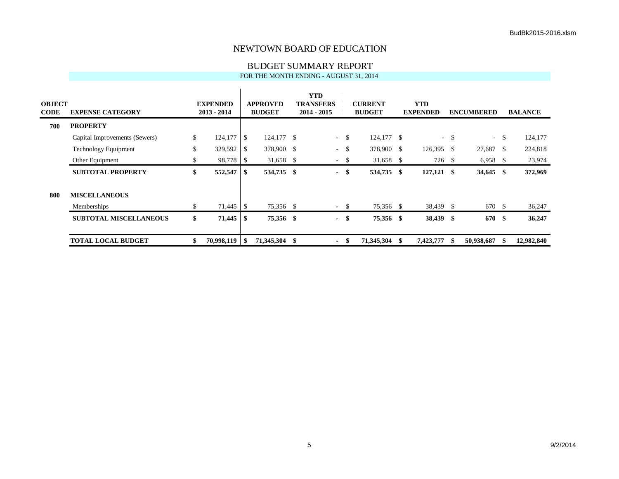### BUDGET SUMMARY REPORT

| OBJECT<br>CODE | <b>EXPENSE CATEGORY</b>       | <b>EXPENDED</b><br>$2013 - 2014$ |      | <b>APPROVED</b><br><b>BUDGET</b> |     | <b>YTD</b><br><b>TRANSFERS</b><br>$2014 - 2015$ |       | <b>CURRENT</b><br><b>BUDGET</b> |      | <b>YTD</b><br><b>EXPENDED</b> |              | <b>ENCUMBERED</b> |        | <b>BALANCE</b> |
|----------------|-------------------------------|----------------------------------|------|----------------------------------|-----|-------------------------------------------------|-------|---------------------------------|------|-------------------------------|--------------|-------------------|--------|----------------|
| 700            | <b>PROPERTY</b>               |                                  |      |                                  |     |                                                 |       |                                 |      |                               |              |                   |        |                |
|                | Capital Improvements (Sewers) | \$<br>124,177                    | -\$  | 124,177 \$                       |     | $\sim 10^{-10}$                                 | - \$  | 124,177 \$                      |      |                               | $-$ \$       |                   | $-$ \$ | 124,177        |
|                | Technology Equipment          | \$<br>329,592                    | l S  | 378,900 \$                       |     | $\sim$                                          | -\$   | 378,900 \$                      |      | 126,395                       | - \$         | 27,687 \$         |        | 224,818        |
|                | Other Equipment               | \$<br>98,778 \$                  |      | 31,658 \$                        |     |                                                 | $- S$ | 31,658 \$                       |      | 726                           | <sup>S</sup> | $6,958$ \$        |        | 23,974         |
|                | <b>SUBTOTAL PROPERTY</b>      | \$<br>$552,547$ \\$              |      | 534,735                          | -\$ |                                                 | - \$  | 534,735 \$                      |      | $127,121$ \$                  |              | $34,645$ \$       |        | 372,969        |
| 800            | <b>MISCELLANEOUS</b>          |                                  |      |                                  |     |                                                 |       |                                 |      |                               |              |                   |        |                |
|                | Memberships                   | \$                               |      | 75,356 \$                        |     |                                                 | $-5$  | 75,356 \$                       |      | 38,439 \$                     |              | 670 \$            |        | 36,247         |
|                | <b>SUBTOTAL MISCELLANEOUS</b> | \$<br>71,445                     | - \$ | 75,356 \$                        |     |                                                 | - \$  | 75,356 \$                       |      | 38,439 \$                     |              | 670 \$            |        | 36,247         |
|                | <b>TOTAL LOCAL BUDGET</b>     | \$<br>$70,998,119$   \$          |      | 71,345,304                       |     |                                                 | - \$  | 71,345,304                      | - 56 | 7,423,777                     | -8           | 50,938,687        | - 55   | 12,982,840     |